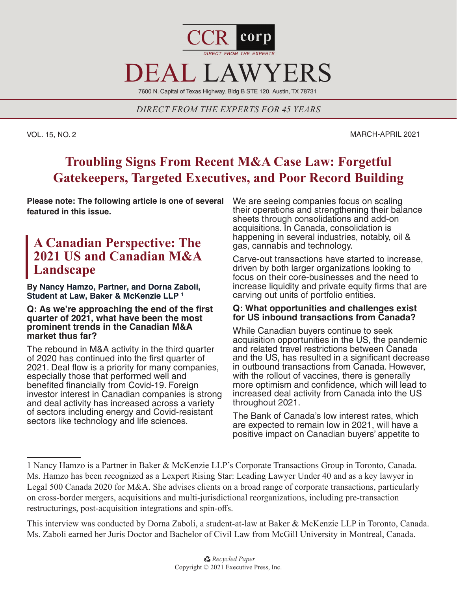

7600 N. Capital of Texas Highway, Bldg B STE 120, Austin, TX 78731

*DIRECT FROM THE EXPERTS FOR 45 YEARS*

VOL. 15, NO. 2 MARCH-APRIL 2021

# **Troubling Signs From Recent M&A Case Law: Forgetful Gatekeepers, Targeted Executives, and Poor Record Building**

**Please note: The following article is one of several featured in this issue.** 

# **A Canadian Perspective: The 2021 US and Canadian M&A Landscape**

**By Nancy Hamzo, Partner, and Dorna Zaboli, Student at Law, Baker & McKenzie LLP 1**

## **Q: As we're approaching the end of the first quarter of 2021, what have been the most prominent trends in the Canadian M&A market thus far?**

The rebound in M&A activity in the third quarter of 2020 has continued into the first quarter of 2021. Deal flow is a priority for many companies, especially those that performed well and benefited financially from Covid-19. Foreign investor interest in Canadian companies is strong and deal activity has increased across a variety of sectors including energy and Covid-resistant sectors like technology and life sciences.

We are seeing companies focus on scaling their operations and strengthening their balance sheets through consolidations and add-on acquisitions. In Canada, consolidation is happening in several industries, notably, oil & gas, cannabis and technology.

Carve-out transactions have started to increase, driven by both larger organizations looking to focus on their core-businesses and the need to increase liquidity and private equity firms that are carving out units of portfolio entities.

# **Q: What opportunities and challenges exist for US inbound transactions from Canada?**

While Canadian buyers continue to seek acquisition opportunities in the US, the pandemic and related travel restrictions between Canada and the US, has resulted in a significant decrease in outbound transactions from Canada. However, with the rollout of vaccines, there is generally more optimism and confidence, which will lead to increased deal activity from Canada into the US throughout 2021.

The Bank of Canada's low interest rates, which are expected to remain low in 2021, will have a positive impact on Canadian buyers' appetite to

This interview was conducted by Dorna Zaboli, a student-at-law at Baker & McKenzie LLP in Toronto, Canada. Ms. Zaboli earned her Juris Doctor and Bachelor of Civil Law from McGill University in Montreal, Canada.

<sup>1</sup> Nancy Hamzo is a Partner in Baker & McKenzie LLP's Corporate Transactions Group in Toronto, Canada. Ms. Hamzo has been recognized as a Lexpert Rising Star: Leading Lawyer Under 40 and as a key lawyer in Legal 500 Canada 2020 for M&A. She advises clients on a broad range of corporate transactions, particularly on cross-border mergers, acquisitions and multi-jurisdictional reorganizations, including pre-transaction restructurings, post-acquisition integrations and spin-offs.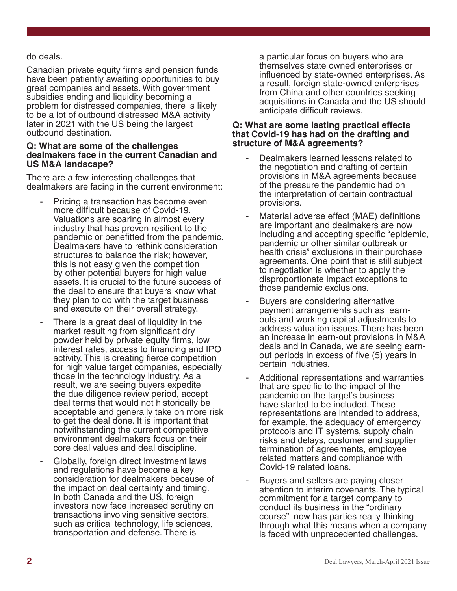# do deals.

Canadian private equity firms and pension funds have been patiently awaiting opportunities to buy great companies and assets. With government subsidies ending and liquidity becoming a problem for distressed companies, there is likely to be a lot of outbound distressed M&A activity later in 2021 with the US being the largest outbound destination.

## **Q: What are some of the challenges dealmakers face in the current Canadian and US M&A landscape?**

There are a few interesting challenges that dealmakers are facing in the current environment:

- Pricing a transaction has become even more difficult because of Covid-19. Valuations are soaring in almost every industry that has proven resilient to the pandemic or benefitted from the pandemic. Dealmakers have to rethink consideration structures to balance the risk; however, this is not easy given the competition by other potential buyers for high value assets. It is crucial to the future success of the deal to ensure that buyers know what they plan to do with the target business and execute on their overall strategy.
- There is a great deal of liquidity in the market resulting from significant dry powder held by private equity firms, low interest rates, access to financing and IPO activity. This is creating fierce competition for high value target companies, especially those in the technology industry. As a result, we are seeing buyers expedite the due diligence review period, accept deal terms that would not historically be acceptable and generally take on more risk to get the deal done. It is important that notwithstanding the current competitive environment dealmakers focus on their core deal values and deal discipline.
- Globally, foreign direct investment laws and regulations have become a key consideration for dealmakers because of the impact on deal certainty and timing. In both Canada and the US, foreign investors now face increased scrutiny on transactions involving sensitive sectors, such as critical technology, life sciences, transportation and defense. There is

a particular focus on buyers who are themselves state owned enterprises or influenced by state-owned enterprises. As a result, foreign state-owned enterprises from China and other countries seeking acquisitions in Canada and the US should anticipate difficult reviews.

## **Q: What are some lasting practical effects that Covid-19 has had on the drafting and structure of M&A agreements?**

- Dealmakers learned lessons related to the negotiation and drafting of certain provisions in M&A agreements because of the pressure the pandemic had on the interpretation of certain contractual provisions.
- Material adverse effect (MAE) definitions are important and dealmakers are now including and accepting specific "epidemic, pandemic or other similar outbreak or health crisis" exclusions in their purchase agreements. One point that is still subject to negotiation is whether to apply the disproportionate impact exceptions to those pandemic exclusions.
- Buyers are considering alternative payment arrangements such as earnouts and working capital adjustments to address valuation issues. There has been an increase in earn-out provisions in M&A deals and in Canada, we are seeing earnout periods in excess of five (5) years in certain industries.
- Additional representations and warranties that are specific to the impact of the pandemic on the target's business have started to be included. These representations are intended to address, for example, the adequacy of emergency protocols and IT systems, supply chain risks and delays, customer and supplier termination of agreements, employee related matters and compliance with Covid-19 related loans.
- Buyers and sellers are paying closer attention to interim covenants. The typical commitment for a target company to conduct its business in the "ordinary course" now has parties really thinking through what this means when a company is faced with unprecedented challenges.